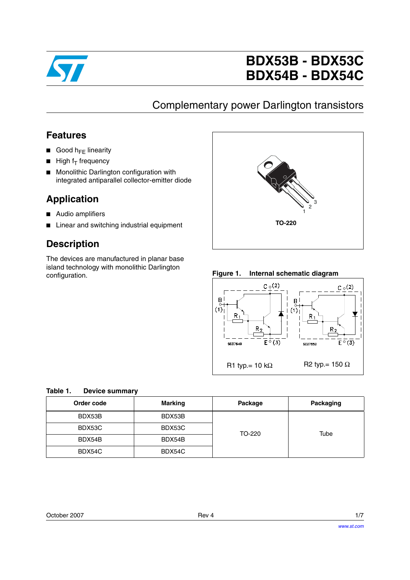

# **BDX53B - BDX53C BDX54B - BDX54C**

### Complementary power Darlington transistors

### **Features**

- Good  $h_{FF}$  linearity
- $\blacksquare$  High f<sub>T</sub> frequency
- Monolithic Darlington configuration with integrated antiparallel collector-emitter diode

### **Application**

- Audio amplifiers
- Linear and switching industrial equipment

### **Description**

The devices are manufactured in planar base island technology with monolithic Darlington configuration. **Figure 1. Internal schematic diagram**





| Table 1. | <b>Device summary</b> |  |
|----------|-----------------------|--|
|          |                       |  |

| Order code | <b>Marking</b> | Package | Packaging |
|------------|----------------|---------|-----------|
| BDX53B     | BDX53B         |         |           |
| BDX53C     | BDX53C         | TO-220  | Tube      |
| BDX54B     | BDX54B         |         |           |
| BDX54C     | BDX54C         |         |           |

| October 2007 | Rev 4 | 1/7 |
|--------------|-------|-----|
|              |       |     |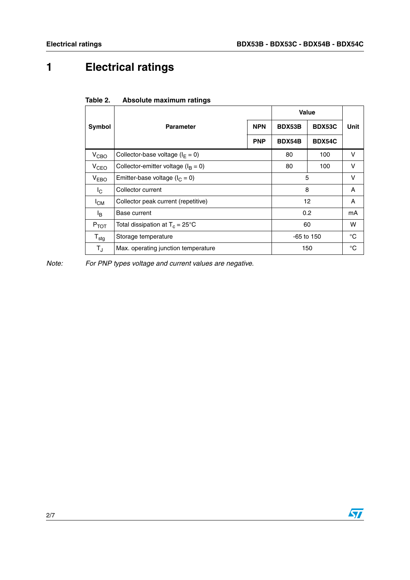**Unit** 

## **1 Electrical ratings**

|                     |                                                 |            | <b>Value</b> |               |             |
|---------------------|-------------------------------------------------|------------|--------------|---------------|-------------|
| <b>Symbol</b>       | <b>Parameter</b>                                | <b>NPN</b> | BDX53B       | BDX53C        | Uni         |
|                     |                                                 | <b>PNP</b> | BDX54B       | <b>BDX54C</b> |             |
| V <sub>CBO</sub>    | Collector-base voltage ( $I_F = 0$ )            |            | 80           | 100           | v           |
| V <sub>CEO</sub>    | Collector-emitter voltage ( $I_B = 0$ )         |            | 80           | 100           | V           |
| V <sub>EBO</sub>    | Emitter-base voltage ( $I_C = 0$ )              |            | 5            |               | V           |
| l <sub>C</sub>      | Collector current                               |            | 8            |               | A           |
| $I_{CM}$            | 12<br>Collector peak current (repetitive)       |            | A            |               |             |
| l <sub>B</sub>      | 0.2<br>Base current                             |            | mΑ           |               |             |
| $P_{TOT}$           | Total dissipation at $T_c = 25^{\circ}$ C<br>60 |            | W            |               |             |
| ${\sf T}_{\sf stg}$ | Storage temperature<br>$-65$ to 150             |            |              | °C            |             |
| $T_{J}$             | 150<br>Max. operating junction temperature      |            |              |               | $^{\circ}C$ |

### **Table 2. Absolute maximum ratings**

*Note: For PNP types voltage and current values are negative.*

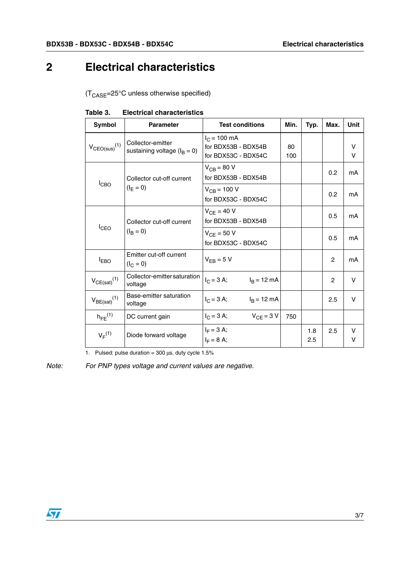### **2 Electrical characteristics**

 $(T_{\text{CASE}} = 25^{\circ} \text{C}$  unless otherwise specified)

| Symbol                                                | <b>Parameter</b>                                      | <b>Test conditions</b>                                               | Min.      | Typ.       | Max.           | Unit        |
|-------------------------------------------------------|-------------------------------------------------------|----------------------------------------------------------------------|-----------|------------|----------------|-------------|
| $V_{CEO(sus)}$ <sup>(1)</sup>                         | Collector-emitter<br>sustaining voltage ( $I_B = 0$ ) | $I_C = 100 \text{ mA}$<br>for BDX53B - BDX54B<br>for BDX53C - BDX54C | 80<br>100 |            |                | V<br>$\vee$ |
| Collector cut-off current<br>$I_{CBO}$<br>$(I_F = 0)$ |                                                       | $V_{CB}$ = 80 V<br>for BDX53B - BDX54B                               |           |            | 0.2            | mA          |
|                                                       |                                                       | $V_{CB} = 100 V$<br>for BDX53C - BDX54C                              |           |            | 0.2            | mA          |
| $I_{CEO}$                                             | Collector cut-off current                             | $V_{CE}$ = 40 V<br>for BDX53B - BDX54B                               |           |            | 0.5            | mA          |
|                                                       | $(I_{\rm B} = 0)$                                     | $V_{CE}$ = 50 V<br>for BDX53C - BDX54C                               |           |            | 0.5            | mA          |
| $I_{EBO}$                                             | Emitter cut-off current<br>$(I_C = 0)$                | $V_{FB} = 5 V$                                                       |           |            | 2              | mA          |
| $V_{CE(sat)}(1)$                                      | Collector-emitter saturation<br>voltage               | $I_C = 3 A;$<br>$I_B$ = 12 mA                                        |           |            | $\overline{2}$ | V           |
| $V_{BE(sat)}(1)$                                      | Base-emitter saturation<br>voltage                    | $I_C = 3 A;$ $I_B = 12 mA$                                           |           |            | 2.5            | V           |
| $h_{FE}$ <sup>(1)</sup>                               | DC current gain                                       | $V_{CF}$ = 3 V<br>$I_C = 3 A;$                                       | 750       |            |                |             |
| $V_F^{(1)}$                                           | Diode forward voltage                                 | $I_F = 3 A;$<br>$I_F = 8 A;$                                         |           | 1.8<br>2.5 | 2.5            | v<br>v      |

**Table 3. Electrical characteristics**

1. Pulsed: pulse duration =  $300 \,\mu s$ , duty cycle  $1.5\%$ 

*Note: For PNP types voltage and current values are negative.*

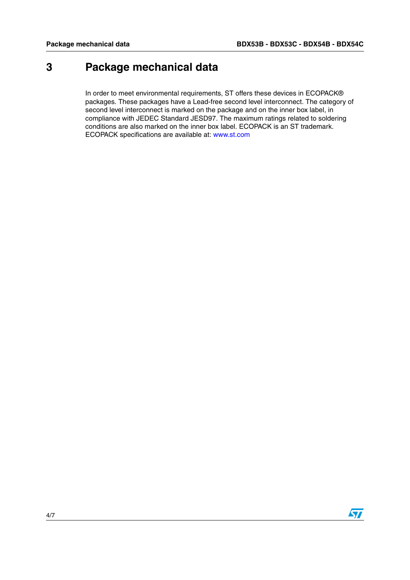### **3 Package mechanical data**

In order to meet environmental requirements, ST offers these devices in ECOPACK® packages. These packages have a Lead-free second level interconnect. The category of second level interconnect is marked on the package and on the inner box label, in compliance with JEDEC Standard JESD97. The maximum ratings related to soldering conditions are also marked on the inner box label. ECOPACK is an ST trademark. ECOPACK specifications are available at: www.st.com

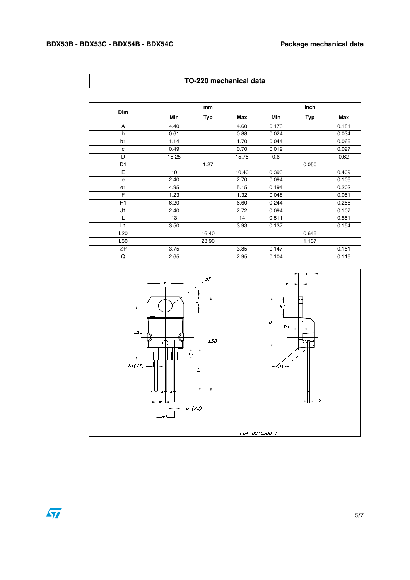| Dim            |       | mm    |       |       | inch  |       |  |
|----------------|-------|-------|-------|-------|-------|-------|--|
|                | Min   | Typ   | Max   | Min   | Typ   | Max   |  |
| A              | 4.40  |       | 4.60  | 0.173 |       | 0.181 |  |
| b              | 0.61  |       | 0.88  | 0.024 |       | 0.034 |  |
| b1             | 1.14  |       | 1.70  | 0.044 |       | 0.066 |  |
| c              | 0.49  |       | 0.70  | 0.019 |       | 0.027 |  |
| D              | 15.25 |       | 15.75 | 0.6   |       | 0.62  |  |
| D <sub>1</sub> |       | 1.27  |       |       | 0.050 |       |  |
| E              | 10    |       | 10.40 | 0.393 |       | 0.409 |  |
| e              | 2.40  |       | 2.70  | 0.094 |       | 0.106 |  |
| e1             | 4.95  |       | 5.15  | 0.194 |       | 0.202 |  |
| E              | 1.23  |       | 1.32  | 0.048 |       | 0.051 |  |
| H1             | 6.20  |       | 6.60  | 0.244 |       | 0.256 |  |
| J1             | 2.40  |       | 2.72  | 0.094 |       | 0.107 |  |
| L              | 13    |       | 14    | 0.511 |       | 0.551 |  |
| L1             | 3.50  |       | 3.93  | 0.137 |       | 0.154 |  |
| L20            |       | 16.40 |       |       | 0.645 |       |  |
| L30            |       | 28.90 |       |       | 1.137 |       |  |
| ØΡ             | 3.75  |       | 3.85  | 0.147 |       | 0.151 |  |
| Q              | 2.65  |       | 2.95  | 0.104 |       | 0.116 |  |



### **TO-220 mechanical data**

 $\sqrt{2}$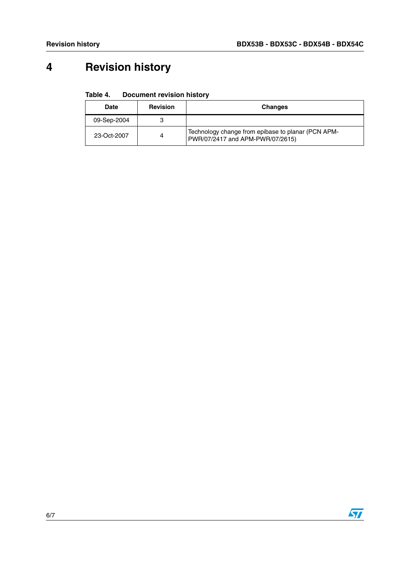# **4 Revision history**

### Table 4. **Document revision history**

| Date        | <b>Revision</b> | <b>Changes</b>                                                                         |
|-------------|-----------------|----------------------------------------------------------------------------------------|
| 09-Sep-2004 |                 |                                                                                        |
| 23-Oct-2007 | 4               | Technology change from epibase to planar (PCN APM-<br>PWR/07/2417 and APM-PWR/07/2615) |